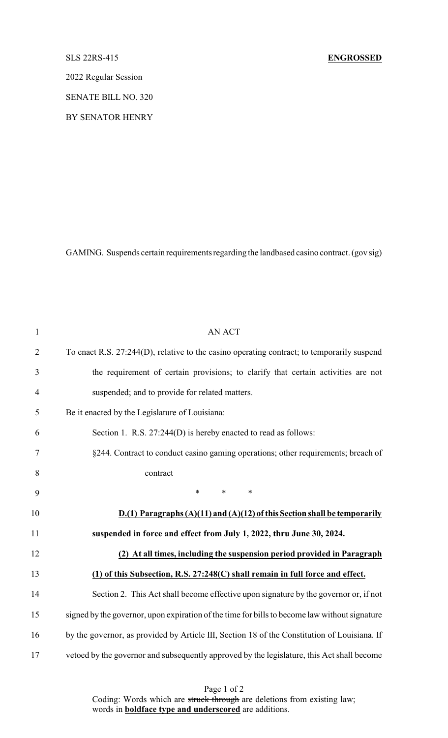## SLS 22RS-415 **ENGROSSED**

2022 Regular Session

SENATE BILL NO. 320

BY SENATOR HENRY

GAMING. Suspends certain requirements regarding the landbased casino contract. (gov sig)

| $\mathbf{1}$   | <b>AN ACT</b>                                                                                 |
|----------------|-----------------------------------------------------------------------------------------------|
| $\overline{2}$ | To enact R.S. 27:244(D), relative to the casino operating contract; to temporarily suspend    |
| 3              | the requirement of certain provisions; to clarify that certain activities are not             |
| 4              | suspended; and to provide for related matters.                                                |
| 5              | Be it enacted by the Legislature of Louisiana:                                                |
| 6              | Section 1. R.S. 27:244(D) is hereby enacted to read as follows:                               |
| 7              | §244. Contract to conduct casino gaming operations; other requirements; breach of             |
| 8              | contract                                                                                      |
| 9              | $\ast$<br>$\ast$<br>$\ast$                                                                    |
| 10             | $D(1)$ Paragraphs $(A)(11)$ and $(A)(12)$ of this Section shall be temporarily                |
| 11             | suspended in force and effect from July 1, 2022, thru June 30, 2024.                          |
| 12             | (2) At all times, including the suspension period provided in Paragraph                       |
| 13             | (1) of this Subsection, R.S. 27:248(C) shall remain in full force and effect.                 |
| 14             | Section 2. This Act shall become effective upon signature by the governor or, if not          |
| 15             | signed by the governor, upon expiration of the time for bills to become law without signature |
| 16             | by the governor, as provided by Article III, Section 18 of the Constitution of Louisiana. If  |
| 17             | vetoed by the governor and subsequently approved by the legislature, this Act shall become    |

Page 1 of 2 Coding: Words which are struck through are deletions from existing law; words in **boldface type and underscored** are additions.